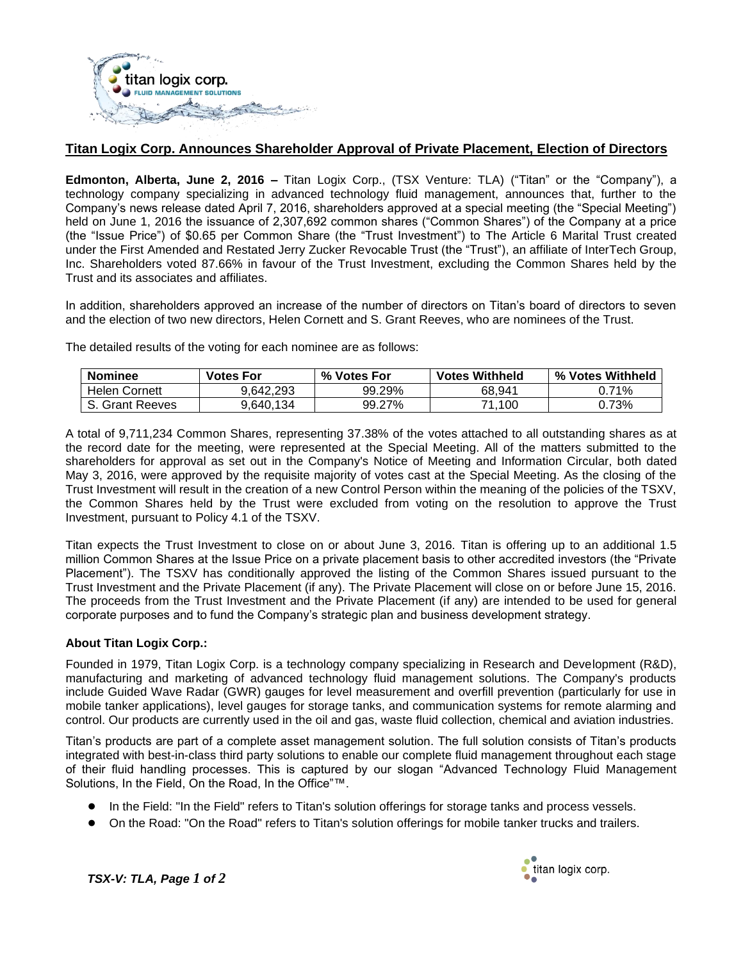

## **Titan Logix Corp. Announces Shareholder Approval of Private Placement, Election of Directors**

**Edmonton, Alberta, June 2, 2016 –** Titan Logix Corp., (TSX Venture: TLA) ("Titan" or the "Company"), a technology company specializing in advanced technology fluid management, announces that, further to the Company's news release dated April 7, 2016, shareholders approved at a special meeting (the "Special Meeting") held on June 1, 2016 the issuance of 2,307,692 common shares ("Common Shares") of the Company at a price (the "Issue Price") of \$0.65 per Common Share (the "Trust Investment") to The Article 6 Marital Trust created under the First Amended and Restated Jerry Zucker Revocable Trust (the "Trust"), an affiliate of InterTech Group, Inc. Shareholders voted 87.66% in favour of the Trust Investment, excluding the Common Shares held by the Trust and its associates and affiliates.

In addition, shareholders approved an increase of the number of directors on Titan's board of directors to seven and the election of two new directors, Helen Cornett and S. Grant Reeves, who are nominees of the Trust.

The detailed results of the voting for each nominee are as follows:

| <b>Nominee</b>       | <b>Votes For</b> | % Votes For | <b>Votes Withheld</b> | % Votes Withheld |
|----------------------|------------------|-------------|-----------------------|------------------|
| <b>Helen Cornett</b> | 9.642.293        | 99.29%      | 68.941                | 71%              |
| S. Grant Reeves      | 9.640.134        | 99.27%      | 71.100                | 0.73%            |

A total of 9,711,234 Common Shares, representing 37.38% of the votes attached to all outstanding shares as at the record date for the meeting, were represented at the Special Meeting. All of the matters submitted to the shareholders for approval as set out in the Company's Notice of Meeting and Information Circular, both dated May 3, 2016, were approved by the requisite majority of votes cast at the Special Meeting. As the closing of the Trust Investment will result in the creation of a new Control Person within the meaning of the policies of the TSXV, the Common Shares held by the Trust were excluded from voting on the resolution to approve the Trust Investment, pursuant to Policy 4.1 of the TSXV.

Titan expects the Trust Investment to close on or about June 3, 2016. Titan is offering up to an additional 1.5 million Common Shares at the Issue Price on a private placement basis to other accredited investors (the "Private Placement"). The TSXV has conditionally approved the listing of the Common Shares issued pursuant to the Trust Investment and the Private Placement (if any). The Private Placement will close on or before June 15, 2016. The proceeds from the Trust Investment and the Private Placement (if any) are intended to be used for general corporate purposes and to fund the Company's strategic plan and business development strategy.

## **About Titan Logix Corp.:**

Founded in 1979, Titan Logix Corp. is a technology company specializing in Research and Development (R&D), manufacturing and marketing of advanced technology fluid management solutions. The Company's products include Guided Wave Radar (GWR) gauges for level measurement and overfill prevention (particularly for use in mobile tanker applications), level gauges for storage tanks, and communication systems for remote alarming and control. Our products are currently used in the oil and gas, waste fluid collection, chemical and aviation industries.

Titan's products are part of a complete asset management solution. The full solution consists of Titan's products integrated with best-in-class third party solutions to enable our complete fluid management throughout each stage of their fluid handling processes. This is captured by our slogan "Advanced Technology Fluid Management Solutions, In the Field, On the Road, In the Office"™.

- In the Field: "In the Field" refers to Titan's solution offerings for storage tanks and process vessels.
- On the Road: "On the Road" refers to Titan's solution offerings for mobile tanker trucks and trailers.



*TSX-V: TLA, Page 1 of 2*